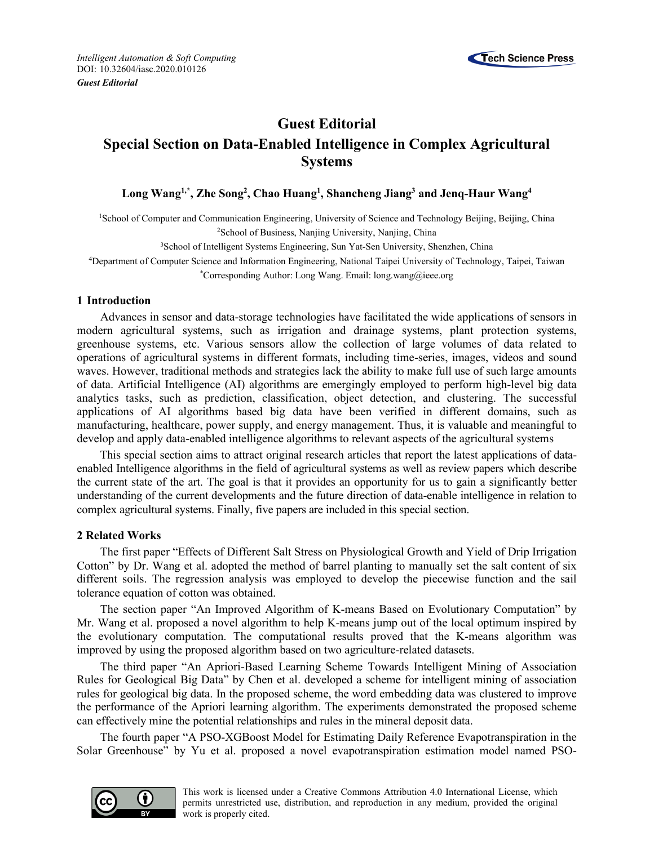

## **Guest Editorial Special Section on Data-Enabled Intelligence in Complex Agricultural Systems**

## **Long Wang1,\*, Zhe Song2 , Chao Huang1 , Shancheng Jiang3 and Jenq-Haur Wang4**

<sup>1</sup>School of Computer and Communication Engineering, University of Science and Technology Beijing, Beijing, China 2School of Business, Nanjing University, Nanjing, China

3School of Intelligent Systems Engineering, Sun Yat-Sen University, Shenzhen, China

4Department of Computer Science and Information Engineering, National Taipei University of Technology, Taipei, Taiwan \*Corresponding Author: Long Wang. Email: long.wang@ieee.org

## **1 Introduction**

Advances in sensor and data-storage technologies have facilitated the wide applications of sensors in modern agricultural systems, such as irrigation and drainage systems, plant protection systems, greenhouse systems, etc. Various sensors allow the collection of large volumes of data related to operations of agricultural systems in different formats, including time-series, images, videos and sound waves. However, traditional methods and strategies lack the ability to make full use of such large amounts of data. Artificial Intelligence (AI) algorithms are emergingly employed to perform high-level big data analytics tasks, such as prediction, classification, object detection, and clustering. The successful applications of AI algorithms based big data have been verified in different domains, such as manufacturing, healthcare, power supply, and energy management. Thus, it is valuable and meaningful to develop and apply data-enabled intelligence algorithms to relevant aspects of the agricultural systems

This special section aims to attract original research articles that report the latest applications of dataenabled Intelligence algorithms in the field of agricultural systems as well as review papers which describe the current state of the art. The goal is that it provides an opportunity for us to gain a significantly better understanding of the current developments and the future direction of data-enable intelligence in relation to complex agricultural systems. Finally, five papers are included in this special section.

## **2 Related Works**

The first paper "Effects of Different Salt Stress on Physiological Growth and Yield of Drip Irrigation Cotton" by Dr. Wang et al. adopted the method of barrel planting to manually set the salt content of six different soils. The regression analysis was employed to develop the piecewise function and the sail tolerance equation of cotton was obtained.

The section paper "An Improved Algorithm of K-means Based on Evolutionary Computation" by Mr. Wang et al. proposed a novel algorithm to help K-means jump out of the local optimum inspired by the evolutionary computation. The computational results proved that the K-means algorithm was improved by using the proposed algorithm based on two agriculture-related datasets.

The third paper "An Apriori-Based Learning Scheme Towards Intelligent Mining of Association Rules for Geological Big Data" by Chen et al. developed a scheme for intelligent mining of association rules for geological big data. In the proposed scheme, the word embedding data was clustered to improve the performance of the Apriori learning algorithm. The experiments demonstrated the proposed scheme can effectively mine the potential relationships and rules in the mineral deposit data.

The fourth paper "A PSO-XGBoost Model for Estimating Daily Reference Evapotranspiration in the Solar Greenhouse" by Yu et al. proposed a novel evapotranspiration estimation model named PSO-